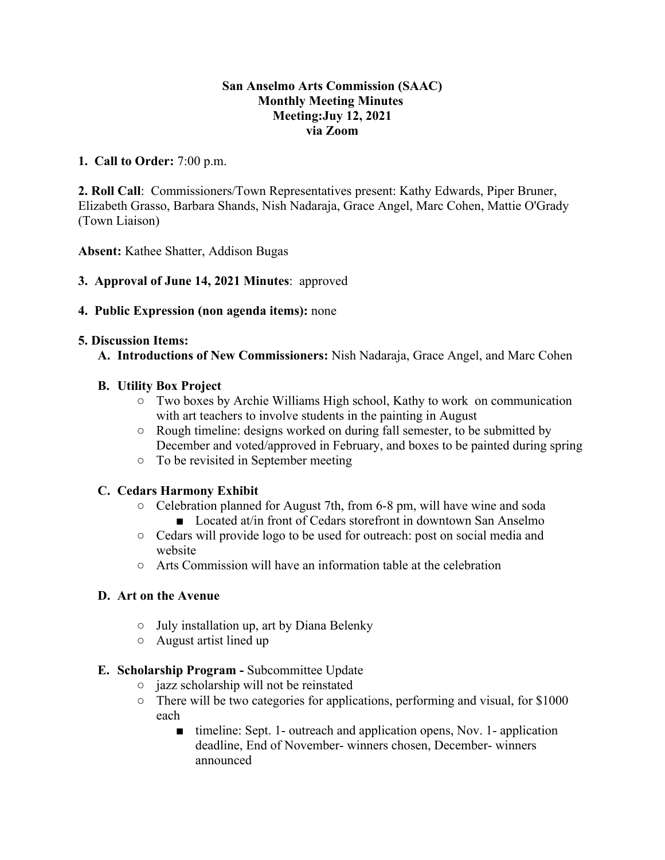#### **San Anselmo Arts Commission (SAAC) Monthly Meeting Minutes Meeting:Juy 12, 2021 via Zoom**

## **1. Call to Order:** 7:00 p.m.

**2. Roll Call**: Commissioners/Town Representatives present: Kathy Edwards, Piper Bruner, Elizabeth Grasso, Barbara Shands, Nish Nadaraja, Grace Angel, Marc Cohen, Mattie O'Grady (Town Liaison)

**Absent:** Kathee Shatter, Addison Bugas

**3. Approval of June 14, 2021 Minutes**: approved

## **4. Public Expression (non agenda items):** none

## **5. Discussion Items:**

**A. Introductions of New Commissioners:** Nish Nadaraja, Grace Angel, and Marc Cohen

# **B. Utility Box Project**

- $\circ$  Two boxes by Archie Williams High school, Kathy to work on communication with art teachers to involve students in the painting in August
- Rough timeline: designs worked on during fall semester, to be submitted by December and voted/approved in February, and boxes to be painted during spring
- To be revisited in September meeting

# **C. Cedars Harmony Exhibit**

- Celebration planned for August 7th, from 6-8 pm, will have wine and soda ■ Located at/in front of Cedars storefront in downtown San Anselmo
- Cedars will provide logo to be used for outreach: post on social media and website
- $\circ$  Arts Commission will have an information table at the celebration

## **D. Art on the Avenue**

- July installation up, art by Diana Belenky
- August artist lined up
- **E. Scholarship Program** Subcommittee Update
	- jazz scholarship will not be reinstated
	- There will be two categories for applications, performing and visual, for \$1000 each
		- timeline: Sept. 1- outreach and application opens, Nov. 1- application deadline, End of November- winners chosen, December- winners announced